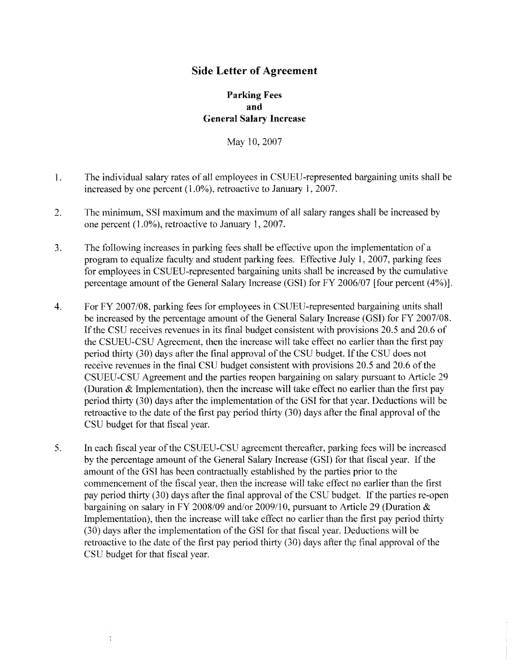## **Side Letter of Agreement**

## **Parking Fees and General Salary Increase**

May 10, 2007

- I. The individual salary rates of all employees in CSU EU-represented bargaining units shall be increased by one percent (1.0%), retroactive to January l, 2007.
- 2. The minimum, SSI maximum and the maximum of all salary ranges shall be increased by one percent (1.0%), retroactive to January 1, 2007.
- 3. The following increases in parking fees shall be effective upon the implementation of a program to equalize faculty and student parking fees. Effective July l, 2007, parking fees for employees in CSUEU-represented bargaining units shall be increased by the cumulative percentage amount of the General Salary Increase (GS!) for FY 2006/07 [four percent (4%)].
- 4. For FY 2007/08, parking fees for employees in CSUEU-represented bargaining units shall be increased by the percentage amount of the General Salary Increase (GSI) for FY 2007/08. If the CSU receives revenues in its final budget consistent with provisions 20.5 and 20.6 of the CSUEU-CSU Agreement, then the increase will take effect no earlier than the first pay period thirty (30) days after the final approval of the CSU budget. If the CSU does not receive revenues in the final CSU budget consistent with provisions 20.5 and 20.6 of the CSUEU-CSU Agreement and the parties reopen bargaining on salary pursuant to Article 29 (Duration & Implementation), then the increase will take effect no earlier than the first pay period thirty (30) days after the implementation of the GSI for that year. Deductions will be retroactive to the date of the first pay period thirty (30) days after the final approval of the CSU budget for that fiscal year.
- 5. In eaeh fiscal year of the CSUEU-CSU agreement thereafter, parking fees will be increased by the percentage amount of the General Salary Increase (GSI) for that fiscal year. If the amount of the GSJ has been contractually established by the parties prior to the commencement of the fiscal year, then the increase will take effect no earlier than the first pay period thirty (30) days after the final approval of the CSU budget. If the parties re-open bargaining on salary in FY 2008/09 and/or 2009/10, pursuant to Article 29 (Duration & Implementation), then the increase will take effect no earlier than the first pay period thirty (30) days after the implementation of the GS! for that fiseal year. Deductions will be retroactive to the date of the first pay period thirty  $(30)$  days after the final approval of the CSU budget for that fiscal year.

 $\frac{1}{3}$